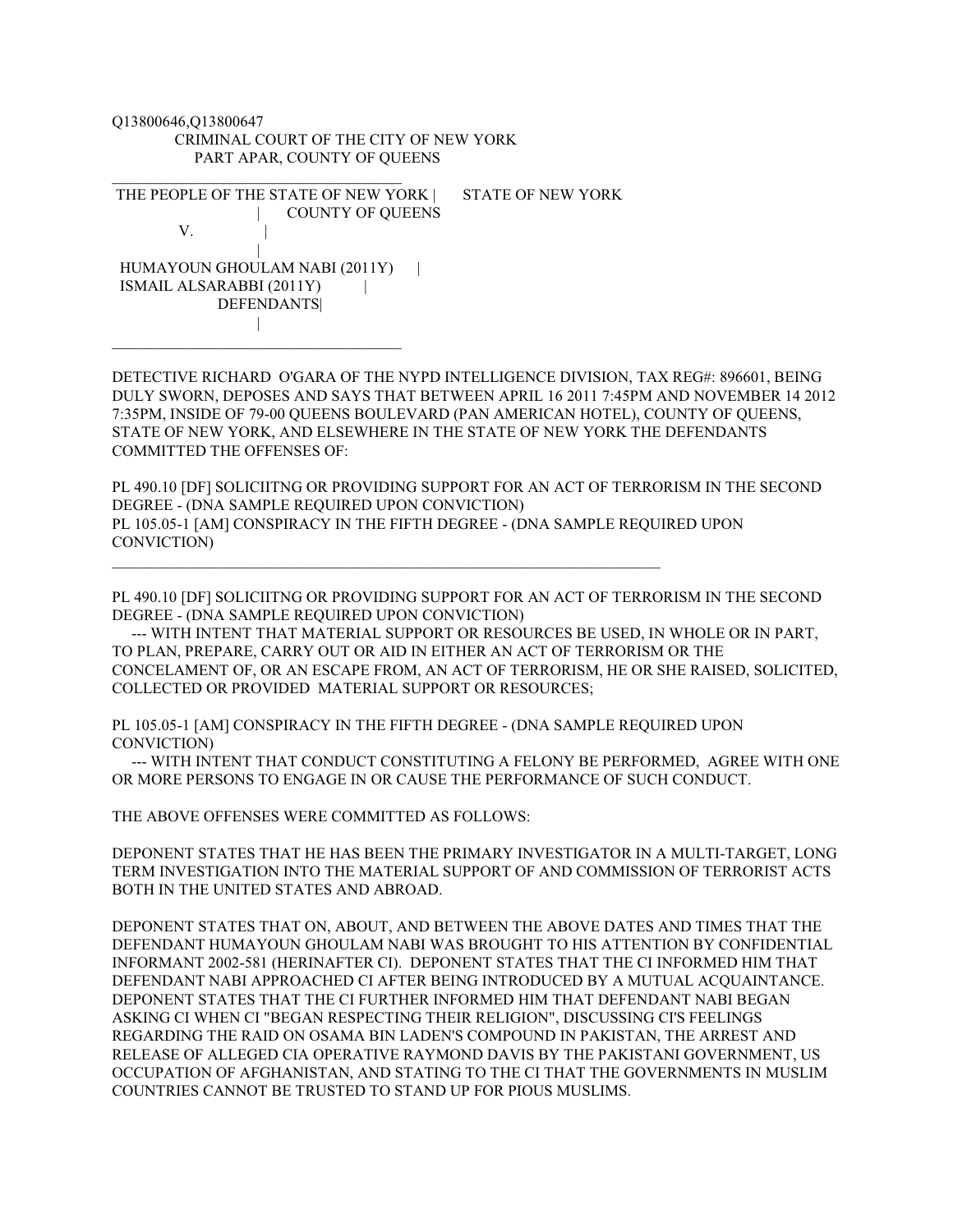Q13800646,Q13800647 CRIMINAL COURT OF THE CITY OF NEW YORK PART APAR, COUNTY OF QUEENS

\_\_\_\_\_\_\_\_\_\_\_\_\_\_\_\_\_\_\_\_\_\_\_\_\_\_\_\_\_\_\_\_\_\_\_\_\_

THE PEOPLE OF THE STATE OF NEW YORK | STATE OF NEW YORK | COUNTY OF QUEENS V. | HUMAYOUN GHOULAM NABI (2011Y) | ISMAIL ALSARABBI (2011Y) | **DEFENDANTS**  | \_\_\_\_\_\_\_\_\_\_\_\_\_\_\_\_\_\_\_\_\_\_\_\_\_\_\_\_\_\_\_\_\_\_\_\_\_

 $\mathcal{L}_\text{max}$  and  $\mathcal{L}_\text{max}$  and  $\mathcal{L}_\text{max}$  and  $\mathcal{L}_\text{max}$  and  $\mathcal{L}_\text{max}$  and  $\mathcal{L}_\text{max}$ 

DETECTIVE RICHARD O'GARA OF THE NYPD INTELLIGENCE DIVISION, TAX REG#: 896601, BEING DULY SWORN, DEPOSES AND SAYS THAT BETWEEN APRIL 16 2011 7:45PM AND NOVEMBER 14 2012 7:35PM, INSIDE OF 79-00 QUEENS BOULEVARD (PAN AMERICAN HOTEL), COUNTY OF QUEENS, STATE OF NEW YORK, AND ELSEWHERE IN THE STATE OF NEW YORK THE DEFENDANTS COMMITTED THE OFFENSES OF:

PL 490.10 [DF] SOLICIITNG OR PROVIDING SUPPORT FOR AN ACT OF TERRORISM IN THE SECOND DEGREE - (DNA SAMPLE REQUIRED UPON CONVICTION) PL 105.05-1 [AM] CONSPIRACY IN THE FIFTH DEGREE - (DNA SAMPLE REQUIRED UPON CONVICTION)

PL 490.10 [DF] SOLICIITNG OR PROVIDING SUPPORT FOR AN ACT OF TERRORISM IN THE SECOND DEGREE - (DNA SAMPLE REQUIRED UPON CONVICTION)

 --- WITH INTENT THAT MATERIAL SUPPORT OR RESOURCES BE USED, IN WHOLE OR IN PART, TO PLAN, PREPARE, CARRY OUT OR AID IN EITHER AN ACT OF TERRORISM OR THE CONCELAMENT OF, OR AN ESCAPE FROM, AN ACT OF TERRORISM, HE OR SHE RAISED, SOLICITED, COLLECTED OR PROVIDED MATERIAL SUPPORT OR RESOURCES;

PL 105.05-1 [AM] CONSPIRACY IN THE FIFTH DEGREE - (DNA SAMPLE REQUIRED UPON CONVICTION)

 --- WITH INTENT THAT CONDUCT CONSTITUTING A FELONY BE PERFORMED, AGREE WITH ONE OR MORE PERSONS TO ENGAGE IN OR CAUSE THE PERFORMANCE OF SUCH CONDUCT.

THE ABOVE OFFENSES WERE COMMITTED AS FOLLOWS:

DEPONENT STATES THAT HE HAS BEEN THE PRIMARY INVESTIGATOR IN A MULTI-TARGET, LONG TERM INVESTIGATION INTO THE MATERIAL SUPPORT OF AND COMMISSION OF TERRORIST ACTS BOTH IN THE UNITED STATES AND ABROAD.

DEPONENT STATES THAT ON, ABOUT, AND BETWEEN THE ABOVE DATES AND TIMES THAT THE DEFENDANT HUMAYOUN GHOULAM NABI WAS BROUGHT TO HIS ATTENTION BY CONFIDENTIAL INFORMANT 2002-581 (HERINAFTER CI). DEPONENT STATES THAT THE CI INFORMED HIM THAT DEFENDANT NABI APPROACHED CI AFTER BEING INTRODUCED BY A MUTUAL ACQUAINTANCE. DEPONENT STATES THAT THE CI FURTHER INFORMED HIM THAT DEFENDANT NABI BEGAN ASKING CI WHEN CI "BEGAN RESPECTING THEIR RELIGION", DISCUSSING CI'S FEELINGS REGARDING THE RAID ON OSAMA BIN LADEN'S COMPOUND IN PAKISTAN, THE ARREST AND RELEASE OF ALLEGED CIA OPERATIVE RAYMOND DAVIS BY THE PAKISTANI GOVERNMENT, US OCCUPATION OF AFGHANISTAN, AND STATING TO THE CI THAT THE GOVERNMENTS IN MUSLIM COUNTRIES CANNOT BE TRUSTED TO STAND UP FOR PIOUS MUSLIMS.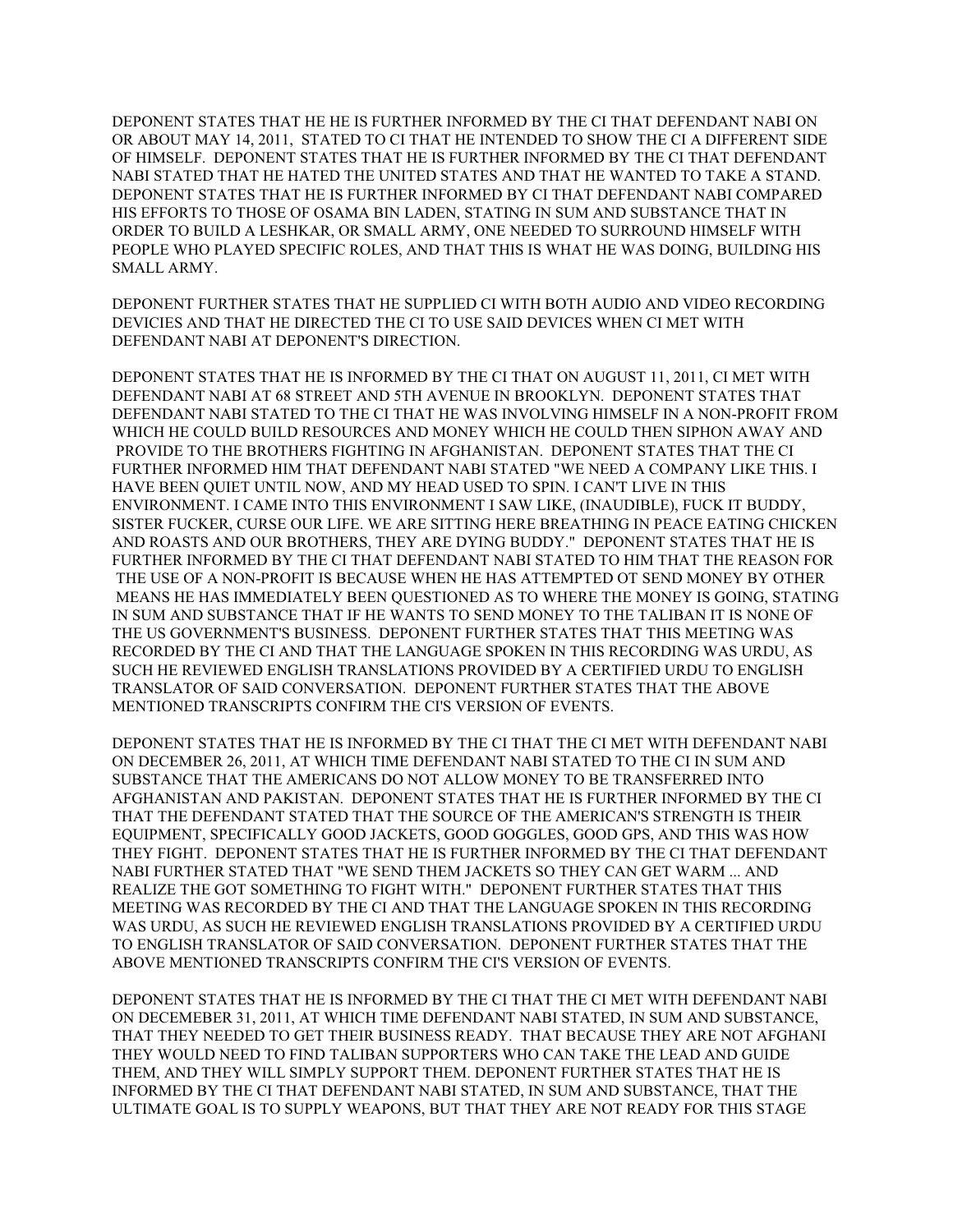DEPONENT STATES THAT HE HE IS FURTHER INFORMED BY THE CI THAT DEFENDANT NABI ON OR ABOUT MAY 14, 2011, STATED TO CI THAT HE INTENDED TO SHOW THE CI A DIFFERENT SIDE OF HIMSELF. DEPONENT STATES THAT HE IS FURTHER INFORMED BY THE CI THAT DEFENDANT NABI STATED THAT HE HATED THE UNITED STATES AND THAT HE WANTED TO TAKE A STAND. DEPONENT STATES THAT HE IS FURTHER INFORMED BY CI THAT DEFENDANT NABI COMPARED HIS EFFORTS TO THOSE OF OSAMA BIN LADEN, STATING IN SUM AND SUBSTANCE THAT IN ORDER TO BUILD A LESHKAR, OR SMALL ARMY, ONE NEEDED TO SURROUND HIMSELF WITH PEOPLE WHO PLAYED SPECIFIC ROLES, AND THAT THIS IS WHAT HE WAS DOING, BUILDING HIS SMALL ARMY.

DEPONENT FURTHER STATES THAT HE SUPPLIED CI WITH BOTH AUDIO AND VIDEO RECORDING DEVICIES AND THAT HE DIRECTED THE CI TO USE SAID DEVICES WHEN CI MET WITH DEFENDANT NABI AT DEPONENT'S DIRECTION.

DEPONENT STATES THAT HE IS INFORMED BY THE CI THAT ON AUGUST 11, 2011, CI MET WITH DEFENDANT NABI AT 68 STREET AND 5TH AVENUE IN BROOKLYN. DEPONENT STATES THAT DEFENDANT NABI STATED TO THE CI THAT HE WAS INVOLVING HIMSELF IN A NON-PROFIT FROM WHICH HE COULD BUILD RESOURCES AND MONEY WHICH HE COULD THEN SIPHON AWAY AND PROVIDE TO THE BROTHERS FIGHTING IN AFGHANISTAN. DEPONENT STATES THAT THE CI FURTHER INFORMED HIM THAT DEFENDANT NABI STATED "WE NEED A COMPANY LIKE THIS. I HAVE BEEN QUIET UNTIL NOW, AND MY HEAD USED TO SPIN. I CAN'T LIVE IN THIS ENVIRONMENT. I CAME INTO THIS ENVIRONMENT I SAW LIKE, (INAUDIBLE), FUCK IT BUDDY, SISTER FUCKER, CURSE OUR LIFE. WE ARE SITTING HERE BREATHING IN PEACE EATING CHICKEN AND ROASTS AND OUR BROTHERS, THEY ARE DYING BUDDY." DEPONENT STATES THAT HE IS FURTHER INFORMED BY THE CI THAT DEFENDANT NABI STATED TO HIM THAT THE REASON FOR THE USE OF A NON-PROFIT IS BECAUSE WHEN HE HAS ATTEMPTED OT SEND MONEY BY OTHER MEANS HE HAS IMMEDIATELY BEEN QUESTIONED AS TO WHERE THE MONEY IS GOING, STATING IN SUM AND SUBSTANCE THAT IF HE WANTS TO SEND MONEY TO THE TALIBAN IT IS NONE OF THE US GOVERNMENT'S BUSINESS. DEPONENT FURTHER STATES THAT THIS MEETING WAS RECORDED BY THE CI AND THAT THE LANGUAGE SPOKEN IN THIS RECORDING WAS URDU, AS SUCH HE REVIEWED ENGLISH TRANSLATIONS PROVIDED BY A CERTIFIED URDU TO ENGLISH TRANSLATOR OF SAID CONVERSATION. DEPONENT FURTHER STATES THAT THE ABOVE MENTIONED TRANSCRIPTS CONFIRM THE CI'S VERSION OF EVENTS.

DEPONENT STATES THAT HE IS INFORMED BY THE CI THAT THE CI MET WITH DEFENDANT NABI ON DECEMBER 26, 2011, AT WHICH TIME DEFENDANT NABI STATED TO THE CI IN SUM AND SUBSTANCE THAT THE AMERICANS DO NOT ALLOW MONEY TO BE TRANSFERRED INTO AFGHANISTAN AND PAKISTAN. DEPONENT STATES THAT HE IS FURTHER INFORMED BY THE CI THAT THE DEFENDANT STATED THAT THE SOURCE OF THE AMERICAN'S STRENGTH IS THEIR EQUIPMENT, SPECIFICALLY GOOD JACKETS, GOOD GOGGLES, GOOD GPS, AND THIS WAS HOW THEY FIGHT. DEPONENT STATES THAT HE IS FURTHER INFORMED BY THE CI THAT DEFENDANT NABI FURTHER STATED THAT "WE SEND THEM JACKETS SO THEY CAN GET WARM ... AND REALIZE THE GOT SOMETHING TO FIGHT WITH." DEPONENT FURTHER STATES THAT THIS MEETING WAS RECORDED BY THE CI AND THAT THE LANGUAGE SPOKEN IN THIS RECORDING WAS URDU, AS SUCH HE REVIEWED ENGLISH TRANSLATIONS PROVIDED BY A CERTIFIED URDU TO ENGLISH TRANSLATOR OF SAID CONVERSATION. DEPONENT FURTHER STATES THAT THE ABOVE MENTIONED TRANSCRIPTS CONFIRM THE CI'S VERSION OF EVENTS.

DEPONENT STATES THAT HE IS INFORMED BY THE CI THAT THE CI MET WITH DEFENDANT NABI ON DECEMEBER 31, 2011, AT WHICH TIME DEFENDANT NABI STATED, IN SUM AND SUBSTANCE, THAT THEY NEEDED TO GET THEIR BUSINESS READY. THAT BECAUSE THEY ARE NOT AFGHANI THEY WOULD NEED TO FIND TALIBAN SUPPORTERS WHO CAN TAKE THE LEAD AND GUIDE THEM, AND THEY WILL SIMPLY SUPPORT THEM. DEPONENT FURTHER STATES THAT HE IS INFORMED BY THE CI THAT DEFENDANT NABI STATED, IN SUM AND SUBSTANCE, THAT THE ULTIMATE GOAL IS TO SUPPLY WEAPONS, BUT THAT THEY ARE NOT READY FOR THIS STAGE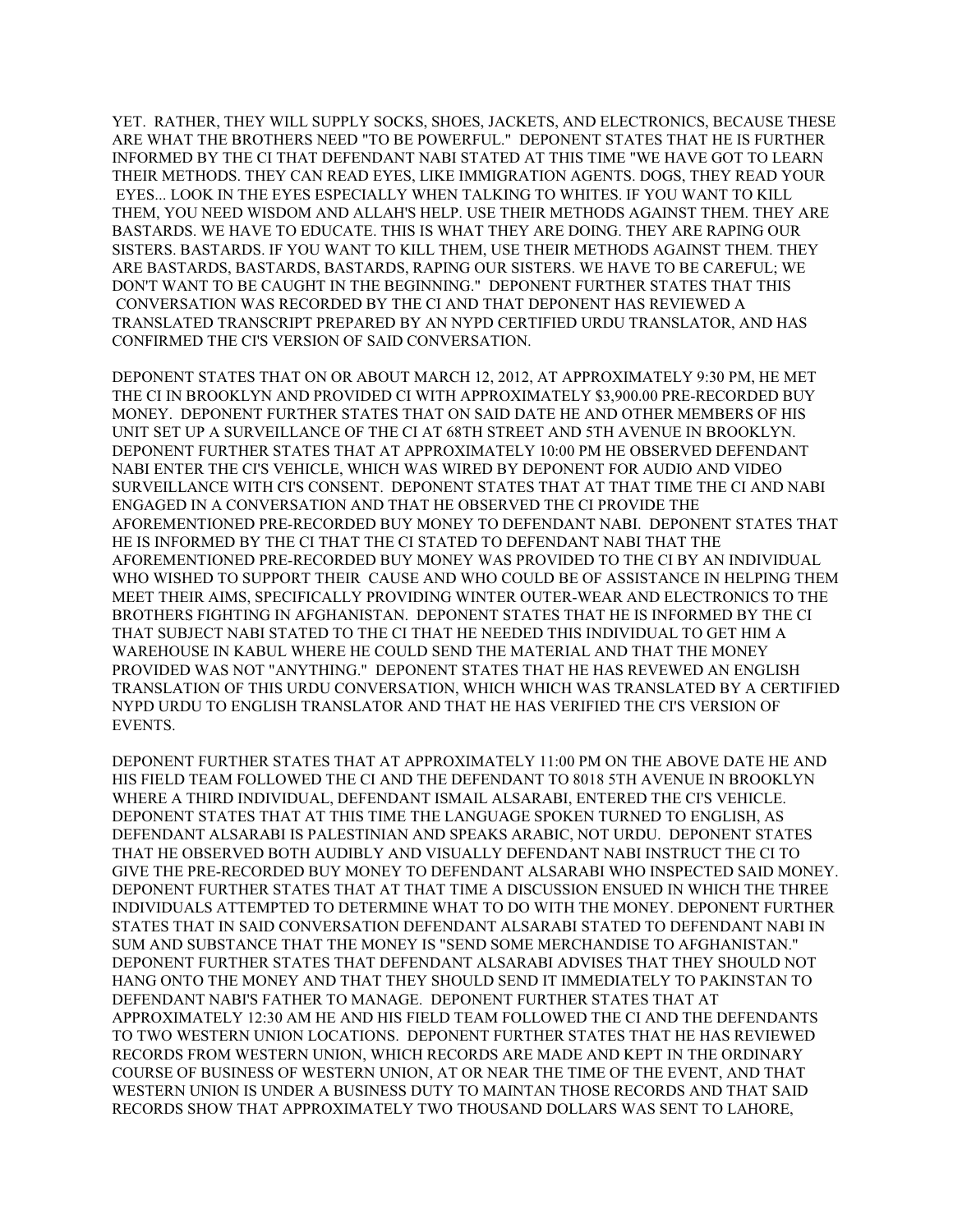YET. RATHER, THEY WILL SUPPLY SOCKS, SHOES, JACKETS, AND ELECTRONICS, BECAUSE THESE ARE WHAT THE BROTHERS NEED "TO BE POWERFUL." DEPONENT STATES THAT HE IS FURTHER INFORMED BY THE CI THAT DEFENDANT NABI STATED AT THIS TIME "WE HAVE GOT TO LEARN THEIR METHODS. THEY CAN READ EYES, LIKE IMMIGRATION AGENTS. DOGS, THEY READ YOUR EYES... LOOK IN THE EYES ESPECIALLY WHEN TALKING TO WHITES. IF YOU WANT TO KILL THEM, YOU NEED WISDOM AND ALLAH'S HELP. USE THEIR METHODS AGAINST THEM. THEY ARE BASTARDS. WE HAVE TO EDUCATE. THIS IS WHAT THEY ARE DOING. THEY ARE RAPING OUR SISTERS. BASTARDS. IF YOU WANT TO KILL THEM, USE THEIR METHODS AGAINST THEM. THEY ARE BASTARDS, BASTARDS, BASTARDS, RAPING OUR SISTERS. WE HAVE TO BE CAREFUL; WE DON'T WANT TO BE CAUGHT IN THE BEGINNING." DEPONENT FURTHER STATES THAT THIS CONVERSATION WAS RECORDED BY THE CI AND THAT DEPONENT HAS REVIEWED A TRANSLATED TRANSCRIPT PREPARED BY AN NYPD CERTIFIED URDU TRANSLATOR, AND HAS CONFIRMED THE CI'S VERSION OF SAID CONVERSATION.

DEPONENT STATES THAT ON OR ABOUT MARCH 12, 2012, AT APPROXIMATELY 9:30 PM, HE MET THE CI IN BROOKLYN AND PROVIDED CI WITH APPROXIMATELY \$3,900.00 PRE-RECORDED BUY MONEY. DEPONENT FURTHER STATES THAT ON SAID DATE HE AND OTHER MEMBERS OF HIS UNIT SET UP A SURVEILLANCE OF THE CI AT 68TH STREET AND 5TH AVENUE IN BROOKLYN. DEPONENT FURTHER STATES THAT AT APPROXIMATELY 10:00 PM HE OBSERVED DEFENDANT NABI ENTER THE CI'S VEHICLE, WHICH WAS WIRED BY DEPONENT FOR AUDIO AND VIDEO SURVEILLANCE WITH CI'S CONSENT. DEPONENT STATES THAT AT THAT TIME THE CI AND NABI ENGAGED IN A CONVERSATION AND THAT HE OBSERVED THE CI PROVIDE THE AFOREMENTIONED PRE-RECORDED BUY MONEY TO DEFENDANT NABI. DEPONENT STATES THAT HE IS INFORMED BY THE CI THAT THE CI STATED TO DEFENDANT NABI THAT THE AFOREMENTIONED PRE-RECORDED BUY MONEY WAS PROVIDED TO THE CI BY AN INDIVIDUAL WHO WISHED TO SUPPORT THEIR CAUSE AND WHO COULD BE OF ASSISTANCE IN HELPING THEM MEET THEIR AIMS, SPECIFICALLY PROVIDING WINTER OUTER-WEAR AND ELECTRONICS TO THE BROTHERS FIGHTING IN AFGHANISTAN. DEPONENT STATES THAT HE IS INFORMED BY THE CI THAT SUBJECT NABI STATED TO THE CI THAT HE NEEDED THIS INDIVIDUAL TO GET HIM A WAREHOUSE IN KABUL WHERE HE COULD SEND THE MATERIAL AND THAT THE MONEY PROVIDED WAS NOT "ANYTHING." DEPONENT STATES THAT HE HAS REVEWED AN ENGLISH TRANSLATION OF THIS URDU CONVERSATION, WHICH WHICH WAS TRANSLATED BY A CERTIFIED NYPD URDU TO ENGLISH TRANSLATOR AND THAT HE HAS VERIFIED THE CI'S VERSION OF EVENTS.

DEPONENT FURTHER STATES THAT AT APPROXIMATELY 11:00 PM ON THE ABOVE DATE HE AND HIS FIELD TEAM FOLLOWED THE CI AND THE DEFENDANT TO 8018 5TH AVENUE IN BROOKLYN WHERE A THIRD INDIVIDUAL, DEFENDANT ISMAIL ALSARABI, ENTERED THE CI'S VEHICLE. DEPONENT STATES THAT AT THIS TIME THE LANGUAGE SPOKEN TURNED TO ENGLISH, AS DEFENDANT ALSARABI IS PALESTINIAN AND SPEAKS ARABIC, NOT URDU. DEPONENT STATES THAT HE OBSERVED BOTH AUDIBLY AND VISUALLY DEFENDANT NABI INSTRUCT THE CI TO GIVE THE PRE-RECORDED BUY MONEY TO DEFENDANT ALSARABI WHO INSPECTED SAID MONEY. DEPONENT FURTHER STATES THAT AT THAT TIME A DISCUSSION ENSUED IN WHICH THE THREE INDIVIDUALS ATTEMPTED TO DETERMINE WHAT TO DO WITH THE MONEY. DEPONENT FURTHER STATES THAT IN SAID CONVERSATION DEFENDANT ALSARABI STATED TO DEFENDANT NABI IN SUM AND SUBSTANCE THAT THE MONEY IS "SEND SOME MERCHANDISE TO AFGHANISTAN." DEPONENT FURTHER STATES THAT DEFENDANT ALSARABI ADVISES THAT THEY SHOULD NOT HANG ONTO THE MONEY AND THAT THEY SHOULD SEND IT IMMEDIATELY TO PAKINSTAN TO DEFENDANT NABI'S FATHER TO MANAGE. DEPONENT FURTHER STATES THAT AT APPROXIMATELY 12:30 AM HE AND HIS FIELD TEAM FOLLOWED THE CI AND THE DEFENDANTS TO TWO WESTERN UNION LOCATIONS. DEPONENT FURTHER STATES THAT HE HAS REVIEWED RECORDS FROM WESTERN UNION, WHICH RECORDS ARE MADE AND KEPT IN THE ORDINARY COURSE OF BUSINESS OF WESTERN UNION, AT OR NEAR THE TIME OF THE EVENT, AND THAT WESTERN UNION IS UNDER A BUSINESS DUTY TO MAINTAN THOSE RECORDS AND THAT SAID RECORDS SHOW THAT APPROXIMATELY TWO THOUSAND DOLLARS WAS SENT TO LAHORE,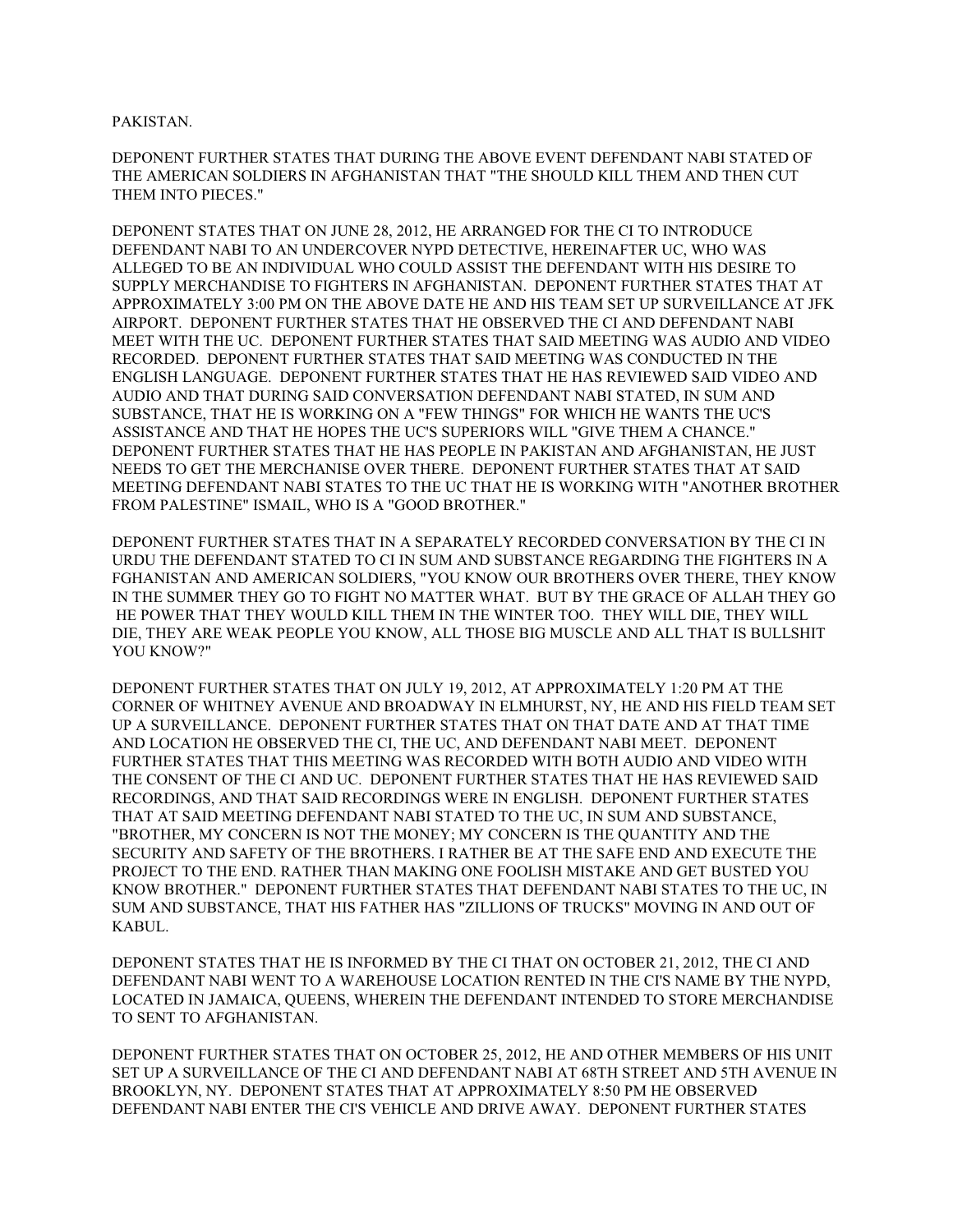## PAKISTAN.

DEPONENT FURTHER STATES THAT DURING THE ABOVE EVENT DEFENDANT NABI STATED OF THE AMERICAN SOLDIERS IN AFGHANISTAN THAT "THE SHOULD KILL THEM AND THEN CUT THEM INTO PIECES."

DEPONENT STATES THAT ON JUNE 28, 2012, HE ARRANGED FOR THE CI TO INTRODUCE DEFENDANT NABI TO AN UNDERCOVER NYPD DETECTIVE, HEREINAFTER UC, WHO WAS ALLEGED TO BE AN INDIVIDUAL WHO COULD ASSIST THE DEFENDANT WITH HIS DESIRE TO SUPPLY MERCHANDISE TO FIGHTERS IN AFGHANISTAN. DEPONENT FURTHER STATES THAT AT APPROXIMATELY 3:00 PM ON THE ABOVE DATE HE AND HIS TEAM SET UP SURVEILLANCE AT JFK AIRPORT. DEPONENT FURTHER STATES THAT HE OBSERVED THE CI AND DEFENDANT NABI MEET WITH THE UC. DEPONENT FURTHER STATES THAT SAID MEETING WAS AUDIO AND VIDEO RECORDED. DEPONENT FURTHER STATES THAT SAID MEETING WAS CONDUCTED IN THE ENGLISH LANGUAGE. DEPONENT FURTHER STATES THAT HE HAS REVIEWED SAID VIDEO AND AUDIO AND THAT DURING SAID CONVERSATION DEFENDANT NABI STATED, IN SUM AND SUBSTANCE, THAT HE IS WORKING ON A "FEW THINGS" FOR WHICH HE WANTS THE UC'S ASSISTANCE AND THAT HE HOPES THE UC'S SUPERIORS WILL "GIVE THEM A CHANCE." DEPONENT FURTHER STATES THAT HE HAS PEOPLE IN PAKISTAN AND AFGHANISTAN, HE JUST NEEDS TO GET THE MERCHANISE OVER THERE. DEPONENT FURTHER STATES THAT AT SAID MEETING DEFENDANT NABI STATES TO THE UC THAT HE IS WORKING WITH "ANOTHER BROTHER FROM PALESTINE" ISMAIL, WHO IS A "GOOD BROTHER."

DEPONENT FURTHER STATES THAT IN A SEPARATELY RECORDED CONVERSATION BY THE CI IN URDU THE DEFENDANT STATED TO CI IN SUM AND SUBSTANCE REGARDING THE FIGHTERS IN A FGHANISTAN AND AMERICAN SOLDIERS, "YOU KNOW OUR BROTHERS OVER THERE, THEY KNOW IN THE SUMMER THEY GO TO FIGHT NO MATTER WHAT. BUT BY THE GRACE OF ALLAH THEY GO HE POWER THAT THEY WOULD KILL THEM IN THE WINTER TOO. THEY WILL DIE, THEY WILL DIE, THEY ARE WEAK PEOPLE YOU KNOW, ALL THOSE BIG MUSCLE AND ALL THAT IS BULLSHIT YOU KNOW?"

DEPONENT FURTHER STATES THAT ON JULY 19, 2012, AT APPROXIMATELY 1:20 PM AT THE CORNER OF WHITNEY AVENUE AND BROADWAY IN ELMHURST, NY, HE AND HIS FIELD TEAM SET UP A SURVEILLANCE. DEPONENT FURTHER STATES THAT ON THAT DATE AND AT THAT TIME AND LOCATION HE OBSERVED THE CI, THE UC, AND DEFENDANT NABI MEET. DEPONENT FURTHER STATES THAT THIS MEETING WAS RECORDED WITH BOTH AUDIO AND VIDEO WITH THE CONSENT OF THE CI AND UC. DEPONENT FURTHER STATES THAT HE HAS REVIEWED SAID RECORDINGS, AND THAT SAID RECORDINGS WERE IN ENGLISH. DEPONENT FURTHER STATES THAT AT SAID MEETING DEFENDANT NABI STATED TO THE UC, IN SUM AND SUBSTANCE, "BROTHER, MY CONCERN IS NOT THE MONEY; MY CONCERN IS THE QUANTITY AND THE SECURITY AND SAFETY OF THE BROTHERS. I RATHER BE AT THE SAFE END AND EXECUTE THE PROJECT TO THE END. RATHER THAN MAKING ONE FOOLISH MISTAKE AND GET BUSTED YOU KNOW BROTHER." DEPONENT FURTHER STATES THAT DEFENDANT NABI STATES TO THE UC, IN SUM AND SUBSTANCE, THAT HIS FATHER HAS "ZILLIONS OF TRUCKS" MOVING IN AND OUT OF KABUL.

DEPONENT STATES THAT HE IS INFORMED BY THE CI THAT ON OCTOBER 21, 2012, THE CI AND DEFENDANT NABI WENT TO A WAREHOUSE LOCATION RENTED IN THE CI'S NAME BY THE NYPD, LOCATED IN JAMAICA, QUEENS, WHEREIN THE DEFENDANT INTENDED TO STORE MERCHANDISE TO SENT TO AFGHANISTAN.

DEPONENT FURTHER STATES THAT ON OCTOBER 25, 2012, HE AND OTHER MEMBERS OF HIS UNIT SET UP A SURVEILLANCE OF THE CI AND DEFENDANT NABI AT 68TH STREET AND 5TH AVENUE IN BROOKLYN, NY. DEPONENT STATES THAT AT APPROXIMATELY 8:50 PM HE OBSERVED DEFENDANT NABI ENTER THE CI'S VEHICLE AND DRIVE AWAY. DEPONENT FURTHER STATES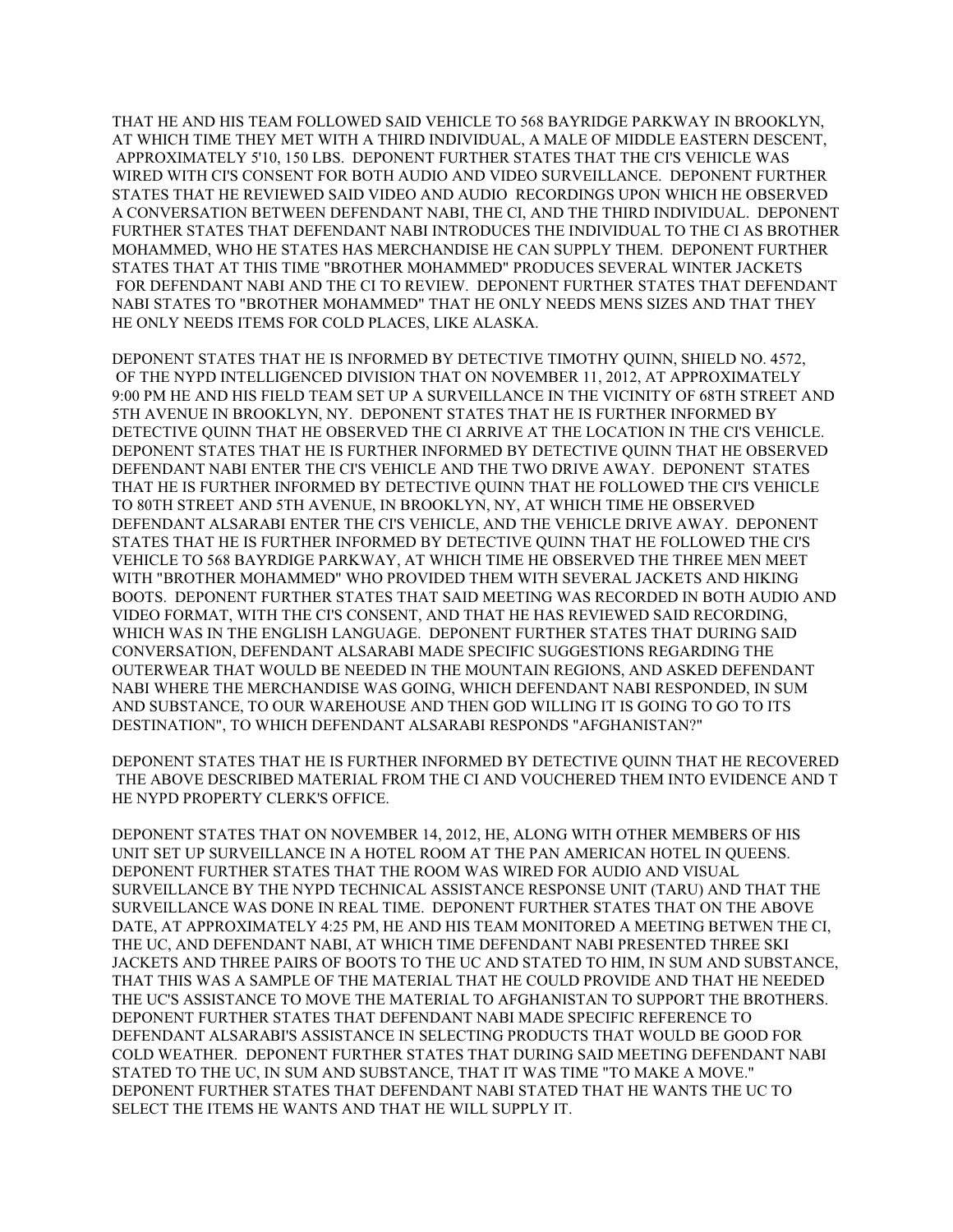THAT HE AND HIS TEAM FOLLOWED SAID VEHICLE TO 568 BAYRIDGE PARKWAY IN BROOKLYN, AT WHICH TIME THEY MET WITH A THIRD INDIVIDUAL, A MALE OF MIDDLE EASTERN DESCENT, APPROXIMATELY 5'10, 150 LBS. DEPONENT FURTHER STATES THAT THE CI'S VEHICLE WAS WIRED WITH CI'S CONSENT FOR BOTH AUDIO AND VIDEO SURVEILLANCE. DEPONENT FURTHER STATES THAT HE REVIEWED SAID VIDEO AND AUDIO RECORDINGS UPON WHICH HE OBSERVED A CONVERSATION BETWEEN DEFENDANT NABI, THE CI, AND THE THIRD INDIVIDUAL. DEPONENT FURTHER STATES THAT DEFENDANT NABI INTRODUCES THE INDIVIDUAL TO THE CI AS BROTHER MOHAMMED, WHO HE STATES HAS MERCHANDISE HE CAN SUPPLY THEM. DEPONENT FURTHER STATES THAT AT THIS TIME "BROTHER MOHAMMED" PRODUCES SEVERAL WINTER JACKETS FOR DEFENDANT NABI AND THE CI TO REVIEW. DEPONENT FURTHER STATES THAT DEFENDANT NABI STATES TO "BROTHER MOHAMMED" THAT HE ONLY NEEDS MENS SIZES AND THAT THEY HE ONLY NEEDS ITEMS FOR COLD PLACES, LIKE ALASKA.

DEPONENT STATES THAT HE IS INFORMED BY DETECTIVE TIMOTHY QUINN, SHIELD NO. 4572, OF THE NYPD INTELLIGENCED DIVISION THAT ON NOVEMBER 11, 2012, AT APPROXIMATELY 9:00 PM HE AND HIS FIELD TEAM SET UP A SURVEILLANCE IN THE VICINITY OF 68TH STREET AND 5TH AVENUE IN BROOKLYN, NY. DEPONENT STATES THAT HE IS FURTHER INFORMED BY DETECTIVE QUINN THAT HE OBSERVED THE CI ARRIVE AT THE LOCATION IN THE CI'S VEHICLE. DEPONENT STATES THAT HE IS FURTHER INFORMED BY DETECTIVE QUINN THAT HE OBSERVED DEFENDANT NABI ENTER THE CI'S VEHICLE AND THE TWO DRIVE AWAY. DEPONENT STATES THAT HE IS FURTHER INFORMED BY DETECTIVE QUINN THAT HE FOLLOWED THE CI'S VEHICLE TO 80TH STREET AND 5TH AVENUE, IN BROOKLYN, NY, AT WHICH TIME HE OBSERVED DEFENDANT ALSARABI ENTER THE CI'S VEHICLE, AND THE VEHICLE DRIVE AWAY. DEPONENT STATES THAT HE IS FURTHER INFORMED BY DETECTIVE QUINN THAT HE FOLLOWED THE CI'S VEHICLE TO 568 BAYRDIGE PARKWAY, AT WHICH TIME HE OBSERVED THE THREE MEN MEET WITH "BROTHER MOHAMMED" WHO PROVIDED THEM WITH SEVERAL JACKETS AND HIKING BOOTS. DEPONENT FURTHER STATES THAT SAID MEETING WAS RECORDED IN BOTH AUDIO AND VIDEO FORMAT, WITH THE CI'S CONSENT, AND THAT HE HAS REVIEWED SAID RECORDING, WHICH WAS IN THE ENGLISH LANGUAGE. DEPONENT FURTHER STATES THAT DURING SAID CONVERSATION, DEFENDANT ALSARABI MADE SPECIFIC SUGGESTIONS REGARDING THE OUTERWEAR THAT WOULD BE NEEDED IN THE MOUNTAIN REGIONS, AND ASKED DEFENDANT NABI WHERE THE MERCHANDISE WAS GOING, WHICH DEFENDANT NABI RESPONDED, IN SUM AND SUBSTANCE, TO OUR WAREHOUSE AND THEN GOD WILLING IT IS GOING TO GO TO ITS DESTINATION", TO WHICH DEFENDANT ALSARABI RESPONDS "AFGHANISTAN?"

DEPONENT STATES THAT HE IS FURTHER INFORMED BY DETECTIVE QUINN THAT HE RECOVERED THE ABOVE DESCRIBED MATERIAL FROM THE CI AND VOUCHERED THEM INTO EVIDENCE AND T HE NYPD PROPERTY CLERK'S OFFICE.

DEPONENT STATES THAT ON NOVEMBER 14, 2012, HE, ALONG WITH OTHER MEMBERS OF HIS UNIT SET UP SURVEILLANCE IN A HOTEL ROOM AT THE PAN AMERICAN HOTEL IN QUEENS. DEPONENT FURTHER STATES THAT THE ROOM WAS WIRED FOR AUDIO AND VISUAL SURVEILLANCE BY THE NYPD TECHNICAL ASSISTANCE RESPONSE UNIT (TARU) AND THAT THE SURVEILLANCE WAS DONE IN REAL TIME. DEPONENT FURTHER STATES THAT ON THE ABOVE DATE, AT APPROXIMATELY 4:25 PM, HE AND HIS TEAM MONITORED A MEETING BETWEN THE CI, THE UC, AND DEFENDANT NABI, AT WHICH TIME DEFENDANT NABI PRESENTED THREE SKI JACKETS AND THREE PAIRS OF BOOTS TO THE UC AND STATED TO HIM, IN SUM AND SUBSTANCE, THAT THIS WAS A SAMPLE OF THE MATERIAL THAT HE COULD PROVIDE AND THAT HE NEEDED THE UC'S ASSISTANCE TO MOVE THE MATERIAL TO AFGHANISTAN TO SUPPORT THE BROTHERS. DEPONENT FURTHER STATES THAT DEFENDANT NABI MADE SPECIFIC REFERENCE TO DEFENDANT ALSARABI'S ASSISTANCE IN SELECTING PRODUCTS THAT WOULD BE GOOD FOR COLD WEATHER. DEPONENT FURTHER STATES THAT DURING SAID MEETING DEFENDANT NABI STATED TO THE UC, IN SUM AND SUBSTANCE, THAT IT WAS TIME "TO MAKE A MOVE." DEPONENT FURTHER STATES THAT DEFENDANT NABI STATED THAT HE WANTS THE UC TO SELECT THE ITEMS HE WANTS AND THAT HE WILL SUPPLY IT.